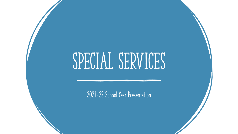# SPECIAL SERVICES

2021-22 School Year Presentation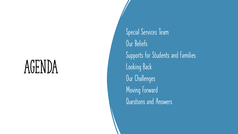## AGENDA

Special Services Team Our Beliefs Supports for Students and Families Looking Back Our Challenges Moving Forward Questions and Answers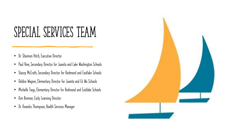#### SPECIAL SERVICES TEAM

- Dr. Shannon Hitch, Executive Director
- Paul Vine, Secondary Director for Juanita and Lake Washington Schools
- Stacey McCrath, Secondary Director for Redmond and Eastlake Schools
- Debbie Wagner, Elementary Director for Juanita and Lk Wa Schools
- Michelle Tiegs, Elementary Director for Redmond and Eastlake Schools
- Kim Brenner, Early Learning Director
- Dr. Keandra Thompson, Health Services Manager

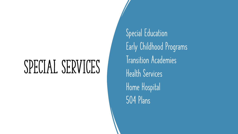## SPECIAL SERVICES

Special Education Early Childhood Programs Transition Academies Health Services Home Hospital 504 Plans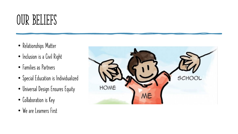#### OUR BELIEFS

- Relationships Matter
- Inclusion is a Civil Right
- Families as Partners
- Special Education is Individualized
- Universal Design Ensures Equity
- Collaboration is Key
- We are Learners First

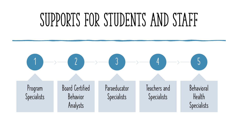## SUPPORTS FOR STUDENTS AND STAFF

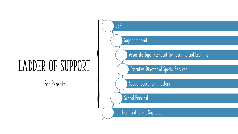## LADDER OF SUPPORT

For Parents

Superintendent

OSPI

Associate Superintendent for Teaching and Learning

Executive Director of Special Services

Special Education Directors

School Principal

IEP Team and Parent Supports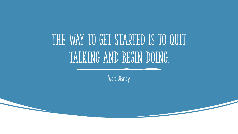## THE WAY TO GET STARTED IS TO QUIT talking and begin doing.

Walt Disney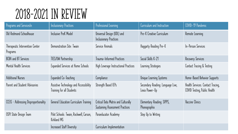#### 2018-2021 IN REVIEW

| Programs and ServicesIn                     | <b>Inclusionary Practices</b>                                       | Professional Learning                                                  | Curriculum and Instruction                          | COVID-19 Pandemic                                                 |
|---------------------------------------------|---------------------------------------------------------------------|------------------------------------------------------------------------|-----------------------------------------------------|-------------------------------------------------------------------|
| Old Redmond Schoolhouse                     | Inclusive PreK Model                                                | Universal Design (UDL) and<br><b>Inclusionary Practices</b>            | Pre-K Creative Curriculum                           | Remote Learning                                                   |
| Therapeutic Intervention Center<br>Programs | Demonstration Site: Twain                                           | Service Animals                                                        | Haggarty Reading Pre-K                              | In-Person Services                                                |
| BCBA and BT Services                        | TIES/UW Partnership                                                 | Trauma-Informed Practices                                              | Social Skills K-21                                  | Recovery Services                                                 |
| Mental Health Services                      | Expanded Services at Home Schools                                   | High Leverage Instructional Practices                                  | Learning Strategies                                 | Contact Tracing & Testing                                         |
| <b>Additional Nurses</b>                    | Expanded Co-Teaching                                                | Compliance                                                             | Unique Learning Systems                             | Home-Based Behavior Supports                                      |
| Parent and Student Advisories               | Assistive Technology and Accessibility<br>Training for all Students | Strength Based IEPs                                                    | Secondary Reading: Language Live,<br>Lexia Power-Up | Health Services: Contact Tracing,<br>COVID Testing, Public Health |
| CCEIS - Addressing Disproportionality       | General Education Curriculum Training                               | Critical Data Matrix and Culturally<br>Sustaining Assessment Practices | Elementary Reading: SIPPS,<br>Phonographix          | Vaccine Clinics                                                   |
| OSPI State Design Team                      | Pilot Schools: Twain, Rockwell, Carson,<br>Kirkland MS              | Paraeducator Academy                                                   | Step Up to Writing                                  |                                                                   |
|                                             | <b>Increased Staff Diversity</b>                                    | Curriculum Implementation                                              |                                                     |                                                                   |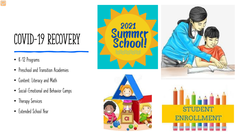### COVID-19 RECOVERY

- K-12 Programs
- Preschool and Transition Academies
- Content: Literacy and Math
- Social-Emotional and Behavior Camps
- Therapy Services
- Extended School Year







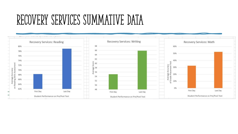#### RECOVERY SERVICES SUMMATIVE DATA

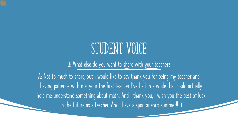#### STUDENT VOICE

Q: What else do you want to share with your teacher?

A: Not to much to share, but I would like to say thank you for being my teacher and having patience with me, your the first teacher I've had in a while that could actually help me understand something about math. And I thank you, I wish you the best of luck in the future as a teacher. And.. have a spontaneous summer!! :)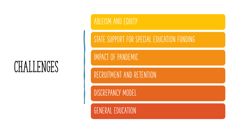#### CHALLENGES

ABLEISM AND EQUITY

STATE SUPPORT FOR SPECIAL EDUCATION FUNDING

#### IMPACT OF PANDEMIC

RECRUITMENT AND RETENTION

DISCREPANCY MODEL

GENERAL EDUCATION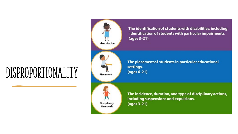#### Disproportionality

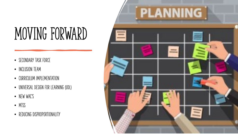## MOVING FORWARD

- SECONDARY TASK FORCE
- INCLUSION TEAM
- CURRICULUM IMPLEMENTATION
- UNIVERSAL DESIGN FOR LEARNING (UDL)
- NEW WAC'S
- MTSS
- REDUCING DISPROPORTIONALITY

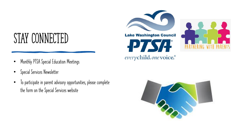#### STAY CONNECTED

- Monthly PTSA Special Education Meetings
- Special Services Newsletter
- To participate in parent advisory opportunities, please complete the form on the Special Services website

**Lake Washington Council ZES PIAT** everychild.onevoice.®